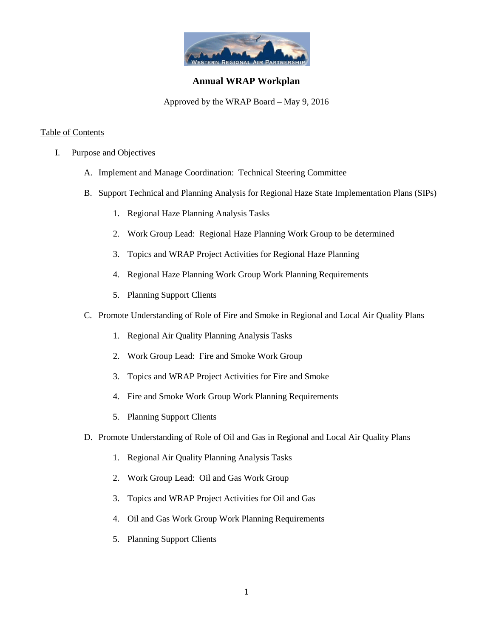

# **Annual WRAP Workplan**

Approved by the WRAP Board – May 9, 2016

## Table of Contents

- I. Purpose and Objectives
	- A. Implement and Manage Coordination: Technical Steering Committee
	- B. Support Technical and Planning Analysis for Regional Haze State Implementation Plans (SIPs)
		- 1. Regional Haze Planning Analysis Tasks
		- 2. Work Group Lead: Regional Haze Planning Work Group to be determined
		- 3. Topics and WRAP Project Activities for Regional Haze Planning
		- 4. Regional Haze Planning Work Group Work Planning Requirements
		- 5. Planning Support Clients
	- C. Promote Understanding of Role of Fire and Smoke in Regional and Local Air Quality Plans
		- 1. Regional Air Quality Planning Analysis Tasks
		- 2. Work Group Lead: Fire and Smoke Work Group
		- 3. Topics and WRAP Project Activities for Fire and Smoke
		- 4. Fire and Smoke Work Group Work Planning Requirements
		- 5. Planning Support Clients
	- D. Promote Understanding of Role of Oil and Gas in Regional and Local Air Quality Plans
		- 1. Regional Air Quality Planning Analysis Tasks
		- 2. Work Group Lead: Oil and Gas Work Group
		- 3. Topics and WRAP Project Activities for Oil and Gas
		- 4. Oil and Gas Work Group Work Planning Requirements
		- 5. Planning Support Clients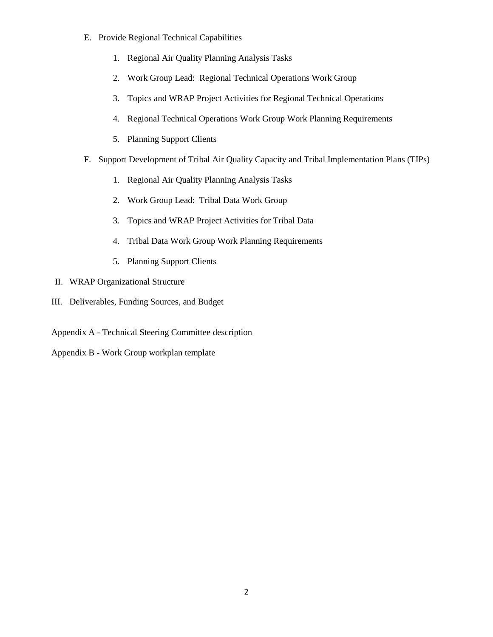- E. Provide Regional Technical Capabilities
	- 1. Regional Air Quality Planning Analysis Tasks
	- 2. Work Group Lead: Regional Technical Operations Work Group
	- 3. Topics and WRAP Project Activities for Regional Technical Operations
	- 4. Regional Technical Operations Work Group Work Planning Requirements
	- 5. Planning Support Clients
- F. Support Development of Tribal Air Quality Capacity and Tribal Implementation Plans (TIPs)
	- 1. Regional Air Quality Planning Analysis Tasks
	- 2. Work Group Lead: Tribal Data Work Group
	- 3. Topics and WRAP Project Activities for Tribal Data
	- 4. Tribal Data Work Group Work Planning Requirements
	- 5. Planning Support Clients
- II. WRAP Organizational Structure
- III. Deliverables, Funding Sources, and Budget
- Appendix A Technical Steering Committee description
- Appendix B Work Group workplan template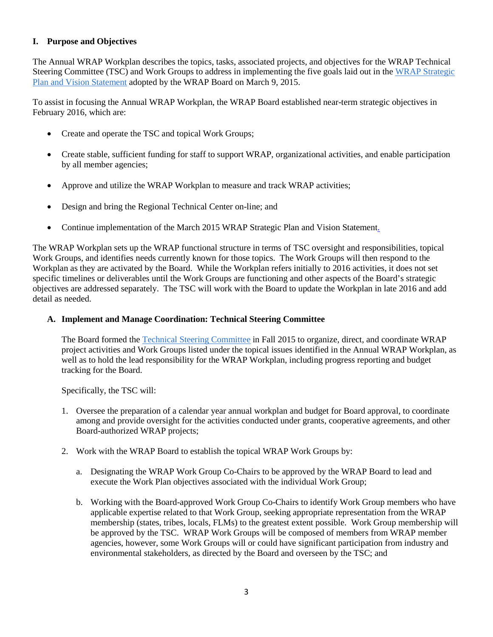# **I. Purpose and Objectives**

The Annual WRAP Workplan describes the topics, tasks, associated projects, and objectives for the WRAP Technical Steering Committee (TSC) and Work Groups to address in implementing the five goals laid out in the [WRAP Strategic](http://www.wrapair2.org/pdf/WRAP%20Strategic%20Plan%20final%20March_2015.pdf)  [Plan and Vision Statement](http://www.wrapair2.org/pdf/WRAP%20Strategic%20Plan%20final%20March_2015.pdf) adopted by the WRAP Board on March 9, 2015.

To assist in focusing the Annual WRAP Workplan, the WRAP Board established near-term strategic objectives in February 2016, which are:

- Create and operate the TSC and topical Work Groups;
- Create stable, sufficient funding for staff to support WRAP, organizational activities, and enable participation by all member agencies;
- Approve and utilize the WRAP Workplan to measure and track WRAP activities;
- Design and bring the Regional Technical Center on-line; and
- Continue implementation of the March 2015 WRAP Strategic Plan and Vision Statement.

The WRAP Workplan sets up the WRAP functional structure in terms of TSC oversight and responsibilities, topical Work Groups, and identifies needs currently known for those topics. The Work Groups will then respond to the Workplan as they are activated by the Board. While the Workplan refers initially to 2016 activities, it does not set specific timelines or deliverables until the Work Groups are functioning and other aspects of the Board's strategic objectives are addressed separately. The TSC will work with the Board to update the Workplan in late 2016 and add detail as needed.

## **A. Implement and Manage Coordination: Technical Steering Committee**

The Board formed th[e Technical Steering Committee](http://www.wrapair2.org/pdf/WRAP%20Technical%20Steering%20Committee%20Description%20Oct%2013_2015%20approvedby%20Board.pdf) in Fall 2015 to organize, direct, and coordinate WRAP project activities and Work Groups listed under the topical issues identified in the Annual WRAP Workplan, as well as to hold the lead responsibility for the WRAP Workplan, including progress reporting and budget tracking for the Board.

Specifically, the TSC will:

- 1. Oversee the preparation of a calendar year annual workplan and budget for Board approval, to coordinate among and provide oversight for the activities conducted under grants, cooperative agreements, and other Board-authorized WRAP projects;
- 2. Work with the WRAP Board to establish the topical WRAP Work Groups by:
	- a. Designating the WRAP Work Group Co-Chairs to be approved by the WRAP Board to lead and execute the Work Plan objectives associated with the individual Work Group;
	- b. Working with the Board-approved Work Group Co-Chairs to identify Work Group members who have applicable expertise related to that Work Group, seeking appropriate representation from the WRAP membership (states, tribes, locals, FLMs) to the greatest extent possible. Work Group membership will be approved by the TSC. WRAP Work Groups will be composed of members from WRAP member agencies, however, some Work Groups will or could have significant participation from industry and environmental stakeholders, as directed by the Board and overseen by the TSC; and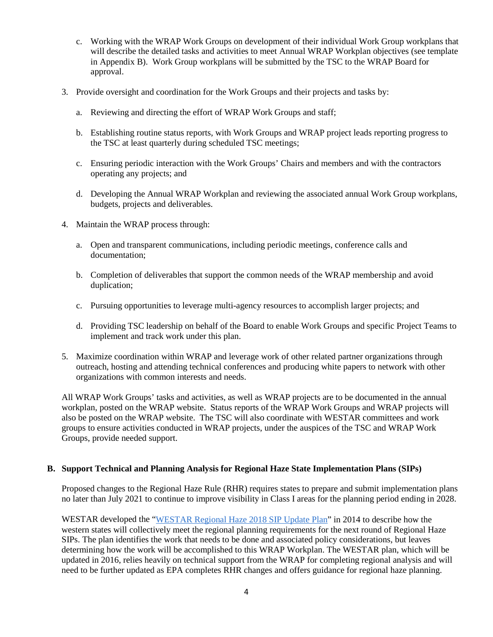- c. Working with the WRAP Work Groups on development of their individual Work Group workplans that will describe the detailed tasks and activities to meet Annual WRAP Workplan objectives (see template in Appendix B). Work Group workplans will be submitted by the TSC to the WRAP Board for approval.
- 3. Provide oversight and coordination for the Work Groups and their projects and tasks by:
	- a. Reviewing and directing the effort of WRAP Work Groups and staff;
	- b. Establishing routine status reports, with Work Groups and WRAP project leads reporting progress to the TSC at least quarterly during scheduled TSC meetings;
	- c. Ensuring periodic interaction with the Work Groups' Chairs and members and with the contractors operating any projects; and
	- d. Developing the Annual WRAP Workplan and reviewing the associated annual Work Group workplans, budgets, projects and deliverables.
- 4. Maintain the WRAP process through:
	- a. Open and transparent communications, including periodic meetings, conference calls and documentation;
	- b. Completion of deliverables that support the common needs of the WRAP membership and avoid duplication;
	- c. Pursuing opportunities to leverage multi-agency resources to accomplish larger projects; and
	- d. Providing TSC leadership on behalf of the Board to enable Work Groups and specific Project Teams to implement and track work under this plan.
- 5. Maximize coordination within WRAP and leverage work of other related partner organizations through outreach, hosting and attending technical conferences and producing white papers to network with other organizations with common interests and needs.

All WRAP Work Groups' tasks and activities, as well as WRAP projects are to be documented in the annual workplan, posted on the WRAP website. Status reports of the WRAP Work Groups and WRAP projects will also be posted on the WRAP website. The TSC will also coordinate with WESTAR committees and work groups to ensure activities conducted in WRAP projects, under the auspices of the TSC and WRAP Work Groups, provide needed support.

#### **B. Support Technical and Planning Analysis for Regional Haze State Implementation Plans (SIPs)**

Proposed changes to the Regional Haze Rule (RHR) requires states to prepare and submit implementation plans no later than July 2021 to continue to improve visibility in Class I areas for the planning period ending in 2028.

WESTAR developed the ["WESTAR Regional Haze 2018 SIP Update Plan"](http://www.westar.org/Docs/Regional%20Haze-WRAP/09.1%20WESTARhazePlan2018%20FINAL.pdf) in 2014 to describe how the western states will collectively meet the regional planning requirements for the next round of Regional Haze SIPs. The plan identifies the work that needs to be done and associated policy considerations, but leaves determining how the work will be accomplished to this WRAP Workplan. The WESTAR plan, which will be updated in 2016, relies heavily on technical support from the WRAP for completing regional analysis and will need to be further updated as EPA completes RHR changes and offers guidance for regional haze planning.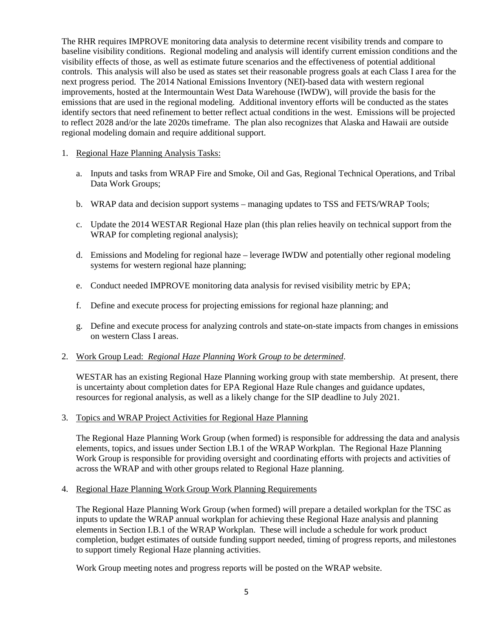The RHR requires IMPROVE monitoring data analysis to determine recent visibility trends and compare to baseline visibility conditions. Regional modeling and analysis will identify current emission conditions and the visibility effects of those, as well as estimate future scenarios and the effectiveness of potential additional controls. This analysis will also be used as states set their reasonable progress goals at each Class I area for the next progress period. The 2014 National Emissions Inventory (NEI)-based data with western regional improvements, hosted at the Intermountain West Data Warehouse (IWDW), will provide the basis for the emissions that are used in the regional modeling. Additional inventory efforts will be conducted as the states identify sectors that need refinement to better reflect actual conditions in the west. Emissions will be projected to reflect 2028 and/or the late 2020s timeframe. The plan also recognizes that Alaska and Hawaii are outside regional modeling domain and require additional support.

#### 1. Regional Haze Planning Analysis Tasks:

- a. Inputs and tasks from WRAP Fire and Smoke, Oil and Gas, Regional Technical Operations, and Tribal Data Work Groups;
- b. WRAP data and decision support systems managing updates to TSS and FETS/WRAP Tools;
- c. Update the 2014 WESTAR Regional Haze plan (this plan relies heavily on technical support from the WRAP for completing regional analysis);
- d. Emissions and Modeling for regional haze leverage IWDW and potentially other regional modeling systems for western regional haze planning;
- e. Conduct needed IMPROVE monitoring data analysis for revised visibility metric by EPA;
- f. Define and execute process for projecting emissions for regional haze planning; and
- g. Define and execute process for analyzing controls and state-on-state impacts from changes in emissions on western Class I areas.

#### 2. Work Group Lead: *Regional Haze Planning Work Group to be determined*.

WESTAR has an existing Regional Haze Planning working group with state membership. At present, there is uncertainty about completion dates for EPA Regional Haze Rule changes and guidance updates, resources for regional analysis, as well as a likely change for the SIP deadline to July 2021.

#### 3. Topics and WRAP Project Activities for Regional Haze Planning

The Regional Haze Planning Work Group (when formed) is responsible for addressing the data and analysis elements, topics, and issues under Section I.B.1 of the WRAP Workplan. The Regional Haze Planning Work Group is responsible for providing oversight and coordinating efforts with projects and activities of across the WRAP and with other groups related to Regional Haze planning.

#### 4. Regional Haze Planning Work Group Work Planning Requirements

The Regional Haze Planning Work Group (when formed) will prepare a detailed workplan for the TSC as inputs to update the WRAP annual workplan for achieving these Regional Haze analysis and planning elements in Section I.B.1 of the WRAP Workplan. These will include a schedule for work product completion, budget estimates of outside funding support needed, timing of progress reports, and milestones to support timely Regional Haze planning activities.

Work Group meeting notes and progress reports will be posted on the WRAP website.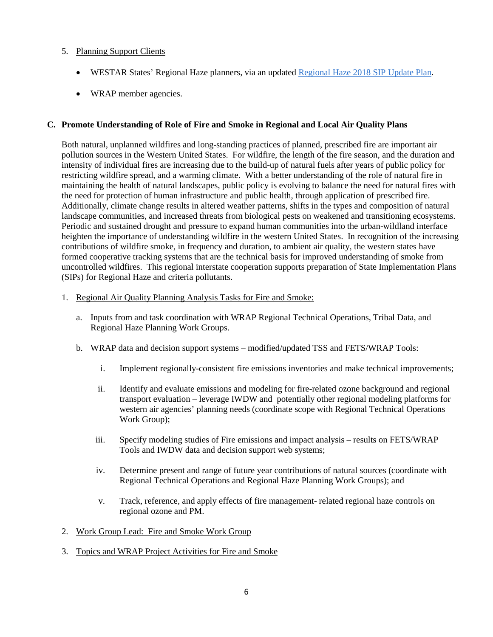## 5. Planning Support Clients

- WESTAR States' Regional Haze planners, via an update[d Regional Haze 2018 SIP Update Plan](http://www.westar.org/Docs/Regional%20Haze-WRAP/09.1%20WESTARhazePlan2018%20FINAL.pdf).
- WRAP member agencies.

#### **C. Promote Understanding of Role of Fire and Smoke in Regional and Local Air Quality Plans**

Both natural, unplanned wildfires and long-standing practices of planned, prescribed fire are important air pollution sources in the Western United States. For wildfire, the length of the fire season, and the duration and intensity of individual fires are increasing due to the build-up of natural fuels after years of public policy for restricting wildfire spread, and a warming climate. With a better understanding of the role of natural fire in maintaining the health of natural landscapes, public policy is evolving to balance the need for natural fires with the need for protection of human infrastructure and public health, through application of prescribed fire. Additionally, climate change results in altered weather patterns, shifts in the types and composition of natural landscape communities, and increased threats from biological pests on weakened and transitioning ecosystems. Periodic and sustained drought and pressure to expand human communities into the urban-wildland interface heighten the importance of understanding wildfire in the western United States. In recognition of the increasing contributions of wildfire smoke, in frequency and duration, to ambient air quality, the western states have formed cooperative tracking systems that are the technical basis for improved understanding of smoke from uncontrolled wildfires. This regional interstate cooperation supports preparation of State Implementation Plans (SIPs) for Regional Haze and criteria pollutants.

- 1. Regional Air Quality Planning Analysis Tasks for Fire and Smoke:
	- a. Inputs from and task coordination with WRAP Regional Technical Operations, Tribal Data, and Regional Haze Planning Work Groups.
	- b. WRAP data and decision support systems modified/updated TSS and FETS/WRAP Tools:
		- i. Implement regionally-consistent fire emissions inventories and make technical improvements;
		- ii. Identify and evaluate emissions and modeling for fire-related ozone background and regional transport evaluation – leverage IWDW and potentially other regional modeling platforms for western air agencies' planning needs (coordinate scope with Regional Technical Operations Work Group);
		- iii. Specify modeling studies of Fire emissions and impact analysis results on FETS/WRAP Tools and IWDW data and decision support web systems;
		- iv. Determine present and range of future year contributions of natural sources (coordinate with Regional Technical Operations and Regional Haze Planning Work Groups); and
		- v. Track, reference, and apply effects of fire management- related regional haze controls on regional ozone and PM.
- 2. Work Group Lead: Fire and Smoke Work Group
- 3. Topics and WRAP Project Activities for Fire and Smoke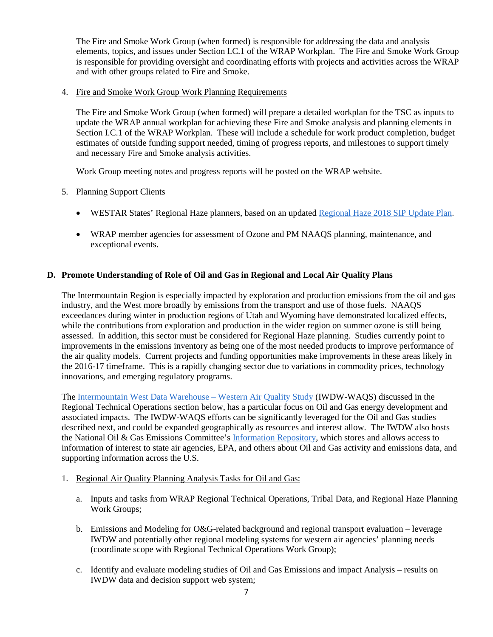The Fire and Smoke Work Group (when formed) is responsible for addressing the data and analysis elements, topics, and issues under Section I.C.1 of the WRAP Workplan. The Fire and Smoke Work Group is responsible for providing oversight and coordinating efforts with projects and activities across the WRAP and with other groups related to Fire and Smoke.

#### 4. Fire and Smoke Work Group Work Planning Requirements

The Fire and Smoke Work Group (when formed) will prepare a detailed workplan for the TSC as inputs to update the WRAP annual workplan for achieving these Fire and Smoke analysis and planning elements in Section I.C.1 of the WRAP Workplan. These will include a schedule for work product completion, budget estimates of outside funding support needed, timing of progress reports, and milestones to support timely and necessary Fire and Smoke analysis activities.

Work Group meeting notes and progress reports will be posted on the WRAP website.

- 5. Planning Support Clients
	- WESTAR States' Regional Haze planners, based on an updated [Regional Haze 2018 SIP Update Plan](http://www.westar.org/Docs/Regional%20Haze-WRAP/09.1%20WESTARhazePlan2018%20FINAL.pdf).
	- WRAP member agencies for assessment of Ozone and PM NAAQS planning, maintenance, and exceptional events.

## **D. Promote Understanding of Role of Oil and Gas in Regional and Local Air Quality Plans**

The Intermountain Region is especially impacted by exploration and production emissions from the oil and gas industry, and the West more broadly by emissions from the transport and use of those fuels. NAAQS exceedances during winter in production regions of Utah and Wyoming have demonstrated localized effects, while the contributions from exploration and production in the wider region on summer ozone is still being assessed. In addition, this sector must be considered for Regional Haze planning. Studies currently point to improvements in the emissions inventory as being one of the most needed products to improve performance of the air quality models. Current projects and funding opportunities make improvements in these areas likely in the 2016-17 timeframe. This is a rapidly changing sector due to variations in commodity prices, technology innovations, and emerging regulatory programs.

The [Intermountain West Data Warehouse –](http://views.cira.colostate.edu/tsdw/) Western Air Quality Study (IWDW-WAQS) discussed in the Regional Technical Operations section below, has a particular focus on Oil and Gas energy development and associated impacts. The IWDW-WAQS efforts can be significantly leveraged for the Oil and Gas studies described next, and could be expanded geographically as resources and interest allow. The IWDW also hosts the National Oil & Gas Emissions Committee's [Information Repository,](http://vibe.cira.colostate.edu/ogec/home.htm) which stores and allows access to information of interest to state air agencies, EPA, and others about Oil and Gas activity and emissions data, and supporting information across the U.S.

- 1. Regional Air Quality Planning Analysis Tasks for Oil and Gas:
	- a. Inputs and tasks from WRAP Regional Technical Operations, Tribal Data, and Regional Haze Planning Work Groups;
	- b. Emissions and Modeling for O&G-related background and regional transport evaluation leverage IWDW and potentially other regional modeling systems for western air agencies' planning needs (coordinate scope with Regional Technical Operations Work Group);
	- c. Identify and evaluate modeling studies of Oil and Gas Emissions and impact Analysis results on IWDW data and decision support web system;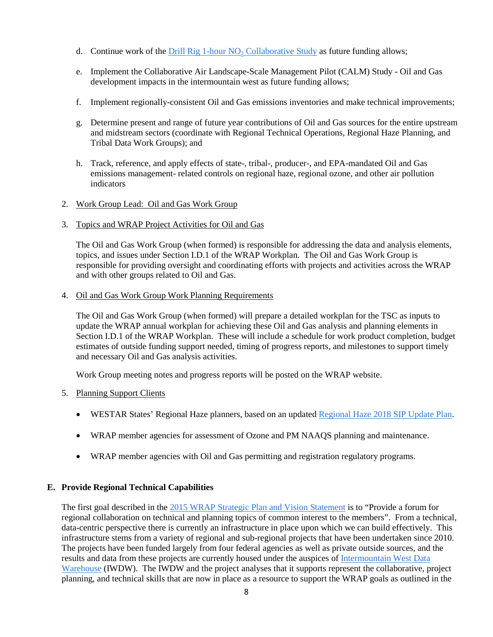- d. Continue work of the Drill Rig 1-hour NO<sub>2</sub> Collaborative Study as future funding allows;
- e. Implement the Collaborative Air Landscape-Scale Management Pilot (CALM) Study Oil and Gas development impacts in the intermountain west as future funding allows;
- f. Implement regionally-consistent Oil and Gas emissions inventories and make technical improvements;
- g. Determine present and range of future year contributions of Oil and Gas sources for the entire upstream and midstream sectors (coordinate with Regional Technical Operations, Regional Haze Planning, and Tribal Data Work Groups); and
- h. Track, reference, and apply effects of state-, tribal-, producer-, and EPA-mandated Oil and Gas emissions management- related controls on regional haze, regional ozone, and other air pollution indicators
- 2. Work Group Lead: Oil and Gas Work Group
- 3. Topics and WRAP Project Activities for Oil and Gas

The Oil and Gas Work Group (when formed) is responsible for addressing the data and analysis elements, topics, and issues under Section I.D.1 of the WRAP Workplan. The Oil and Gas Work Group is responsible for providing oversight and coordinating efforts with projects and activities across the WRAP and with other groups related to Oil and Gas.

4. Oil and Gas Work Group Work Planning Requirements

The Oil and Gas Work Group (when formed) will prepare a detailed workplan for the TSC as inputs to update the WRAP annual workplan for achieving these Oil and Gas analysis and planning elements in Section I.D.1 of the WRAP Workplan. These will include a schedule for work product completion, budget estimates of outside funding support needed, timing of progress reports, and milestones to support timely and necessary Oil and Gas analysis activities.

Work Group meeting notes and progress reports will be posted on the WRAP website.

#### 5. Planning Support Clients

- WESTAR States' Regional Haze planners, based on an updated [Regional Haze 2018 SIP Update Plan](http://www.westar.org/Docs/Regional%20Haze-WRAP/09.1%20WESTARhazePlan2018%20FINAL.pdf).
- WRAP member agencies for assessment of Ozone and PM NAAQS planning and maintenance.
- WRAP member agencies with Oil and Gas permitting and registration regulatory programs.

#### **E. Provide Regional Technical Capabilities**

The first goal described in the [2015 WRAP Strategic Plan and Vision Statement](http://www.wrapair2.org/pdf/WRAP%20Strategic%20Plan%20final%20March_2015.pdf) is to "Provide a forum for regional collaboration on technical and planning topics of common interest to the members". From a technical, data-centric perspective there is currently an infrastructure in place upon which we can build effectively. This infrastructure stems from a variety of regional and sub-regional projects that have been undertaken since 2010. The projects have been funded largely from four federal agencies as well as private outside sources, and the results and data from these projects are currently housed under the auspices of [Intermountain West Data](http://views.cira.colostate.edu/tsdw/)  [Warehouse](http://views.cira.colostate.edu/tsdw/) (IWDW). The IWDW and the project analyses that it supports represent the collaborative, project planning, and technical skills that are now in place as a resource to support the WRAP goals as outlined in the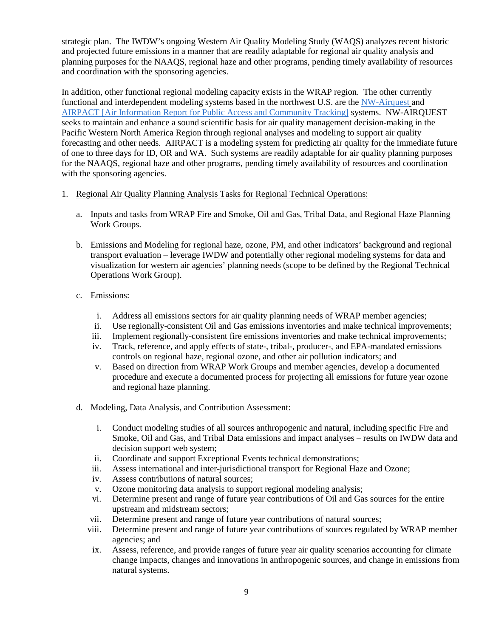strategic plan. The IWDW's ongoing Western Air Quality Modeling Study (WAQS) analyzes recent historic and projected future emissions in a manner that are readily adaptable for regional air quality analysis and planning purposes for the NAAQS, regional haze and other programs, pending timely availability of resources and coordination with the sponsoring agencies.

In addition, other functional regional modeling capacity exists in the WRAP region. The other currently functional and interdependent modeling systems based in the northwest U.S. are the NW-Airquest and AIRPACT [Air Information Report for Public Access and Community Tracking] systems.NW-AIRQUEST seeks to maintain and enhance a sound scientific basis for air quality management decision-making in the Pacific Western North America Region through regional analyses and modeling to support air quality forecasting and other needs. AIRPACT is a modeling system for predicting air quality for the immediate future of one to three days for ID, OR and WA. Such systems are readily adaptable for air quality planning purposes for the NAAQS, regional haze and other programs, pending timely availability of resources and coordination with the sponsoring agencies.

- 1. Regional Air Quality Planning Analysis Tasks for Regional Technical Operations:
	- a. Inputs and tasks from WRAP Fire and Smoke, Oil and Gas, Tribal Data, and Regional Haze Planning Work Groups.
	- b. Emissions and Modeling for regional haze, ozone, PM, and other indicators' background and regional transport evaluation – leverage IWDW and potentially other regional modeling systems for data and visualization for western air agencies' planning needs (scope to be defined by the Regional Technical Operations Work Group).
	- c. Emissions:
		- i. Address all emissions sectors for air quality planning needs of WRAP member agencies;
		- ii. Use regionally-consistent Oil and Gas emissions inventories and make technical improvements;
		- iii. Implement regionally-consistent fire emissions inventories and make technical improvements;
		- iv. Track, reference, and apply effects of state-, tribal-, producer-, and EPA-mandated emissions controls on regional haze, regional ozone, and other air pollution indicators; and
		- v. Based on direction from WRAP Work Groups and member agencies, develop a documented procedure and execute a documented process for projecting all emissions for future year ozone and regional haze planning.
	- d. Modeling, Data Analysis, and Contribution Assessment:
		- i. Conduct modeling studies of all sources anthropogenic and natural, including specific Fire and Smoke, Oil and Gas, and Tribal Data emissions and impact analyses – results on IWDW data and decision support web system;
		- ii. Coordinate and support Exceptional Events technical demonstrations;
		- iii. Assess international and inter-jurisdictional transport for Regional Haze and Ozone;
		- iv. Assess contributions of natural sources;
		- v. Ozone monitoring data analysis to support regional modeling analysis;
		- vi. Determine present and range of future year contributions of Oil and Gas sources for the entire upstream and midstream sectors;
		- vii. Determine present and range of future year contributions of natural sources;
		- viii. Determine present and range of future year contributions of sources regulated by WRAP member agencies; and
		- ix. Assess, reference, and provide ranges of future year air quality scenarios accounting for climate change impacts, changes and innovations in anthropogenic sources, and change in emissions from natural systems.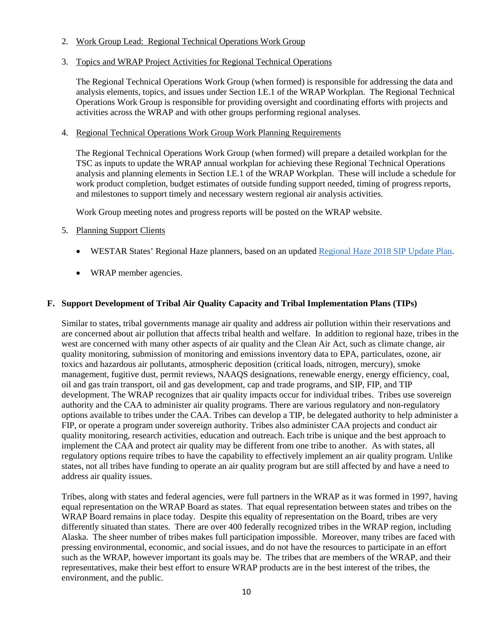#### 2. Work Group Lead: Regional Technical Operations Work Group

#### 3. Topics and WRAP Project Activities for Regional Technical Operations

The Regional Technical Operations Work Group (when formed) is responsible for addressing the data and analysis elements, topics, and issues under Section I.E.1 of the WRAP Workplan. The Regional Technical Operations Work Group is responsible for providing oversight and coordinating efforts with projects and activities across the WRAP and with other groups performing regional analyses.

#### 4. Regional Technical Operations Work Group Work Planning Requirements

The Regional Technical Operations Work Group (when formed) will prepare a detailed workplan for the TSC as inputs to update the WRAP annual workplan for achieving these Regional Technical Operations analysis and planning elements in Section I.E.1 of the WRAP Workplan. These will include a schedule for work product completion, budget estimates of outside funding support needed, timing of progress reports, and milestones to support timely and necessary western regional air analysis activities.

Work Group meeting notes and progress reports will be posted on the WRAP website.

#### 5. Planning Support Clients

- WESTAR States' Regional Haze planners, based on an updated [Regional Haze 2018 SIP Update Plan](http://www.westar.org/Docs/Regional%20Haze-WRAP/09.1%20WESTARhazePlan2018%20FINAL.pdf).
- WRAP member agencies.

## **F. Support Development of Tribal Air Quality Capacity and Tribal Implementation Plans (TIPs)**

Similar to states, tribal governments manage air quality and address air pollution within their reservations and are concerned about air pollution that affects tribal health and welfare. In addition to regional haze, tribes in the west are concerned with many other aspects of air quality and the Clean Air Act, such as climate change, air quality monitoring, submission of monitoring and emissions inventory data to EPA, particulates, ozone, air toxics and hazardous air pollutants, atmospheric deposition (critical loads, nitrogen, mercury), smoke management, fugitive dust, permit reviews, NAAQS designations, renewable energy, energy efficiency, coal, oil and gas train transport, oil and gas development, cap and trade programs, and SIP, FIP, and TIP development. The WRAP recognizes that air quality impacts occur for individual tribes. Tribes use sovereign authority and the CAA to administer air quality programs. There are various regulatory and non-regulatory options available to tribes under the CAA. Tribes can develop a TIP, be delegated authority to help administer a FIP, or operate a program under sovereign authority. Tribes also administer CAA projects and conduct air quality monitoring, research activities, education and outreach. Each tribe is unique and the best approach to implement the CAA and protect air quality may be different from one tribe to another. As with states, all regulatory options require tribes to have the capability to effectively implement an air quality program. Unlike states, not all tribes have funding to operate an air quality program but are still affected by and have a need to address air quality issues.

Tribes, along with states and federal agencies, were full partners in the WRAP as it was formed in 1997, having equal representation on the WRAP Board as states. That equal representation between states and tribes on the WRAP Board remains in place today. Despite this equality of representation on the Board, tribes are very differently situated than states. There are over 400 federally recognized tribes in the WRAP region, including Alaska. The sheer number of tribes makes full participation impossible. Moreover, many tribes are faced with pressing environmental, economic, and social issues, and do not have the resources to participate in an effort such as the WRAP, however important its goals may be. The tribes that are members of the WRAP, and their representatives, make their best effort to ensure WRAP products are in the best interest of the tribes, the environment, and the public.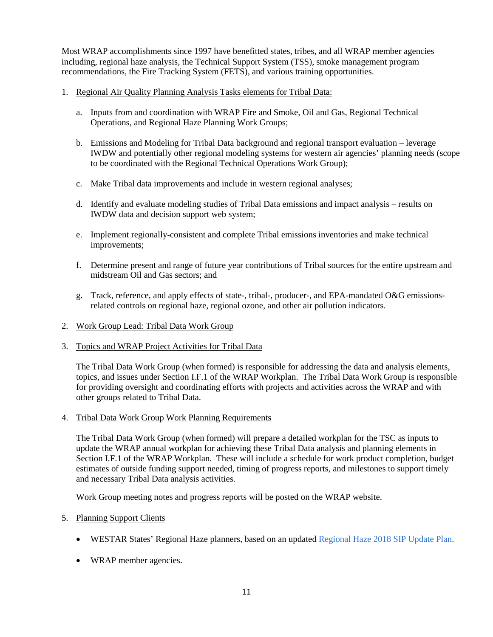Most WRAP accomplishments since 1997 have benefitted states, tribes, and all WRAP member agencies including, regional haze analysis, the Technical Support System (TSS), smoke management program recommendations, the Fire Tracking System (FETS), and various training opportunities.

- 1. Regional Air Quality Planning Analysis Tasks elements for Tribal Data:
	- a. Inputs from and coordination with WRAP Fire and Smoke, Oil and Gas, Regional Technical Operations, and Regional Haze Planning Work Groups;
	- b. Emissions and Modeling for Tribal Data background and regional transport evaluation leverage IWDW and potentially other regional modeling systems for western air agencies' planning needs (scope to be coordinated with the Regional Technical Operations Work Group);
	- c. Make Tribal data improvements and include in western regional analyses;
	- d. Identify and evaluate modeling studies of Tribal Data emissions and impact analysis results on IWDW data and decision support web system;
	- e. Implement regionally-consistent and complete Tribal emissions inventories and make technical improvements;
	- f. Determine present and range of future year contributions of Tribal sources for the entire upstream and midstream Oil and Gas sectors; and
	- g. Track, reference, and apply effects of state-, tribal-, producer-, and EPA-mandated O&G emissionsrelated controls on regional haze, regional ozone, and other air pollution indicators.
- 2. Work Group Lead: Tribal Data Work Group
- 3. Topics and WRAP Project Activities for Tribal Data

The Tribal Data Work Group (when formed) is responsible for addressing the data and analysis elements, topics, and issues under Section I.F.1 of the WRAP Workplan. The Tribal Data Work Group is responsible for providing oversight and coordinating efforts with projects and activities across the WRAP and with other groups related to Tribal Data.

4. Tribal Data Work Group Work Planning Requirements

The Tribal Data Work Group (when formed) will prepare a detailed workplan for the TSC as inputs to update the WRAP annual workplan for achieving these Tribal Data analysis and planning elements in Section I.F.1 of the WRAP Workplan. These will include a schedule for work product completion, budget estimates of outside funding support needed, timing of progress reports, and milestones to support timely and necessary Tribal Data analysis activities.

Work Group meeting notes and progress reports will be posted on the WRAP website.

#### 5. Planning Support Clients

- WESTAR States' Regional Haze planners, based on an updated [Regional Haze 2018 SIP Update Plan](http://www.westar.org/Docs/Regional%20Haze-WRAP/09.1%20WESTARhazePlan2018%20FINAL.pdf).
- WRAP member agencies.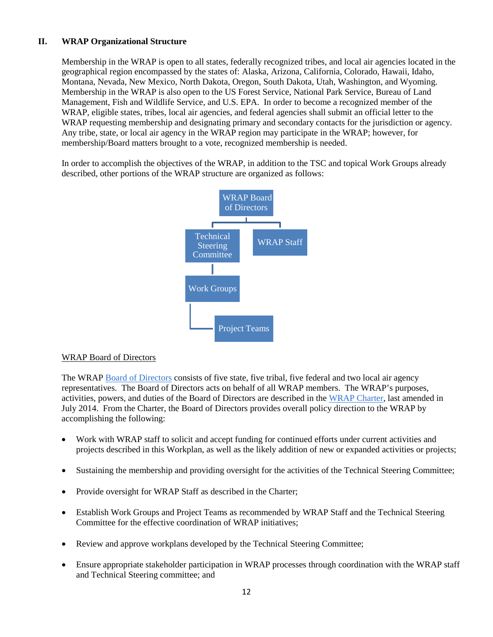# **II. WRAP Organizational Structure**

Membership in the WRAP is open to all states, federally recognized tribes, and local air agencies located in the geographical region encompassed by the states of: Alaska, Arizona, California, Colorado, Hawaii, Idaho, Montana, Nevada, New Mexico, North Dakota, Oregon, South Dakota, Utah, Washington, and Wyoming. Membership in the WRAP is also open to the US Forest Service, National Park Service, Bureau of Land Management, Fish and Wildlife Service, and U.S. EPA. In order to become a recognized member of the WRAP, eligible states, tribes, local air agencies, and federal agencies shall submit an official letter to the WRAP requesting membership and designating primary and secondary contacts for the jurisdiction or agency. Any tribe, state, or local air agency in the WRAP region may participate in the WRAP; however, for membership/Board matters brought to a vote, recognized membership is needed.

In order to accomplish the objectives of the WRAP, in addition to the TSC and topical Work Groups already described, other portions of the WRAP structure are organized as follows:



#### WRAP Board of Directors

The WRAP [Board of Directors](http://www.wrapair2.org/WrapBoard.aspx) consists of five state, five tribal, five federal and two local air agency representatives. The Board of Directors acts on behalf of all WRAP members. The WRAP's purposes, activities, powers, and duties of the Board of Directors are described in the [WRAP Charter,](http://www.wrapair2.org/pdf/WRAP%20Charter%20approved%20by%20the%20WRAP%20Membership%20July%202014.pdf) last amended in July 2014. From the Charter, the Board of Directors provides overall policy direction to the WRAP by accomplishing the following:

- Work with WRAP staff to solicit and accept funding for continued efforts under current activities and projects described in this Workplan, as well as the likely addition of new or expanded activities or projects;
- Sustaining the membership and providing oversight for the activities of the Technical Steering Committee;
- Provide oversight for WRAP Staff as described in the Charter;
- Establish Work Groups and Project Teams as recommended by WRAP Staff and the Technical Steering Committee for the effective coordination of WRAP initiatives;
- Review and approve workplans developed by the Technical Steering Committee;
- Ensure appropriate stakeholder participation in WRAP processes through coordination with the WRAP staff and Technical Steering committee; and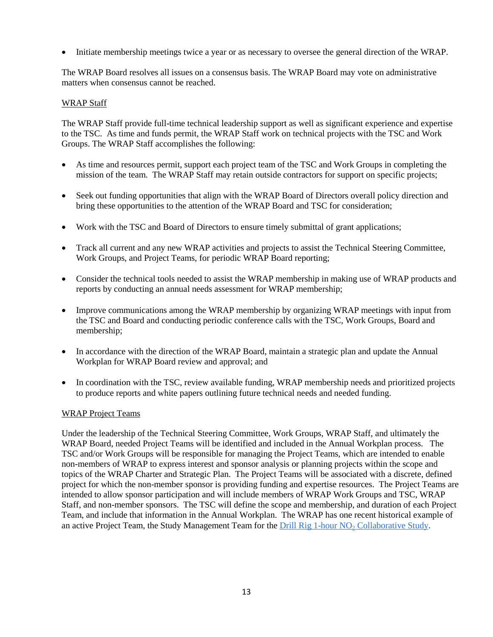• Initiate membership meetings twice a year or as necessary to oversee the general direction of the WRAP.

The WRAP Board resolves all issues on a consensus basis. The WRAP Board may vote on administrative matters when consensus cannot be reached.

#### WRAP Staff

The WRAP Staff provide full-time technical leadership support as well as significant experience and expertise to the TSC. As time and funds permit, the WRAP Staff work on technical projects with the TSC and Work Groups. The WRAP Staff accomplishes the following:

- As time and resources permit, support each project team of the TSC and Work Groups in completing the mission of the team. The WRAP Staff may retain outside contractors for support on specific projects;
- Seek out funding opportunities that align with the WRAP Board of Directors overall policy direction and bring these opportunities to the attention of the WRAP Board and TSC for consideration;
- Work with the TSC and Board of Directors to ensure timely submittal of grant applications;
- Track all current and any new WRAP activities and projects to assist the Technical Steering Committee, Work Groups, and Project Teams, for periodic WRAP Board reporting;
- Consider the technical tools needed to assist the WRAP membership in making use of WRAP products and reports by conducting an annual needs assessment for WRAP membership;
- Improve communications among the WRAP membership by organizing WRAP meetings with input from the TSC and Board and conducting periodic conference calls with the TSC, Work Groups, Board and membership;
- In accordance with the direction of the WRAP Board, maintain a strategic plan and update the Annual Workplan for WRAP Board review and approval; and
- In coordination with the TSC, review available funding, WRAP membership needs and prioritized projects to produce reports and white papers outlining future technical needs and needed funding.

#### WRAP Project Teams

Under the leadership of the Technical Steering Committee, Work Groups, WRAP Staff, and ultimately the WRAP Board, needed Project Teams will be identified and included in the Annual Workplan process. The TSC and/or Work Groups will be responsible for managing the Project Teams, which are intended to enable non-members of WRAP to express interest and sponsor analysis or planning projects within the scope and topics of the WRAP Charter and Strategic Plan. The Project Teams will be associated with a discrete, defined project for which the non-member sponsor is providing funding and expertise resources. The Project Teams are intended to allow sponsor participation and will include members of WRAP Work Groups and TSC, WRAP Staff, and non-member sponsors. The TSC will define the scope and membership, and duration of each Project Team, and include that information in the Annual Workplan. The WRAP has one recent historical example of an active Project Team, the Study Management Team for the *Drill Rig 1-hour NO<sub>2</sub> Collaborative Study*.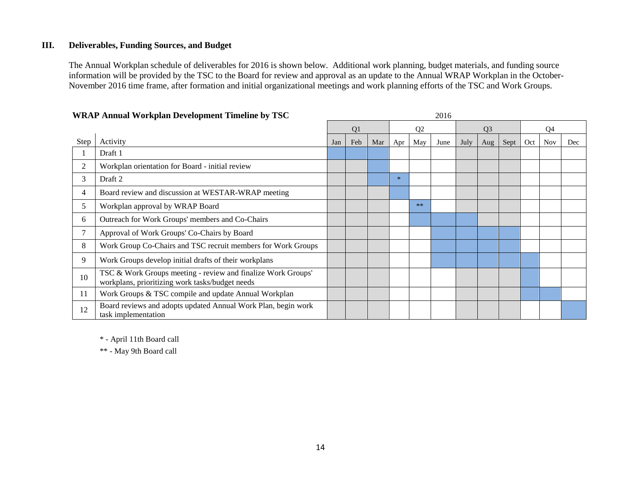#### **III. Deliverables, Funding Sources, and Budget**

The Annual Workplan schedule of deliverables for 2016 is shown below. Additional work planning, budget materials, and funding source information will be provided by the TSC to the Board for review and approval as an update to the Annual WRAP Workplan in the October-November 2016 time frame, after formation and initial organizational meetings and work planning efforts of the TSC and Work Groups.

| WRAP Annual Workplan Development Timeline by TSC |                                                                                                                 | 2016 |     |     |                |       |                |      |                |      |     |            |     |  |
|--------------------------------------------------|-----------------------------------------------------------------------------------------------------------------|------|-----|-----|----------------|-------|----------------|------|----------------|------|-----|------------|-----|--|
|                                                  |                                                                                                                 |      | Q1  |     | Q <sub>2</sub> |       | Q <sub>3</sub> |      | Q <sub>4</sub> |      |     |            |     |  |
| Step                                             | Activity                                                                                                        | Jan  | Feb | Mar | Apr            | May   | June           | July | Aug            | Sept | Oct | <b>Nov</b> | Dec |  |
|                                                  | Draft 1                                                                                                         |      |     |     |                |       |                |      |                |      |     |            |     |  |
| 2                                                | Workplan orientation for Board - initial review                                                                 |      |     |     |                |       |                |      |                |      |     |            |     |  |
| 3                                                | Draft 2                                                                                                         |      |     |     | $\ast$         |       |                |      |                |      |     |            |     |  |
| 4                                                | Board review and discussion at WESTAR-WRAP meeting                                                              |      |     |     |                |       |                |      |                |      |     |            |     |  |
| 5                                                | Workplan approval by WRAP Board                                                                                 |      |     |     |                | $***$ |                |      |                |      |     |            |     |  |
| 6                                                | Outreach for Work Groups' members and Co-Chairs                                                                 |      |     |     |                |       |                |      |                |      |     |            |     |  |
| 7                                                | Approval of Work Groups' Co-Chairs by Board                                                                     |      |     |     |                |       |                |      |                |      |     |            |     |  |
| 8                                                | Work Group Co-Chairs and TSC recruit members for Work Groups                                                    |      |     |     |                |       |                |      |                |      |     |            |     |  |
| 9                                                | Work Groups develop initial drafts of their workplans                                                           |      |     |     |                |       |                |      |                |      |     |            |     |  |
| 10                                               | TSC & Work Groups meeting - review and finalize Work Groups'<br>workplans, prioritizing work tasks/budget needs |      |     |     |                |       |                |      |                |      |     |            |     |  |
| 11                                               | Work Groups & TSC compile and update Annual Workplan                                                            |      |     |     |                |       |                |      |                |      |     |            |     |  |
| 12                                               | Board reviews and adopts updated Annual Work Plan, begin work<br>task implementation                            |      |     |     |                |       |                |      |                |      |     |            |     |  |

# **WRAPA** IW LID **D** L AN' P L TIGG

\* - April 11th Board call

\*\* - May 9th Board call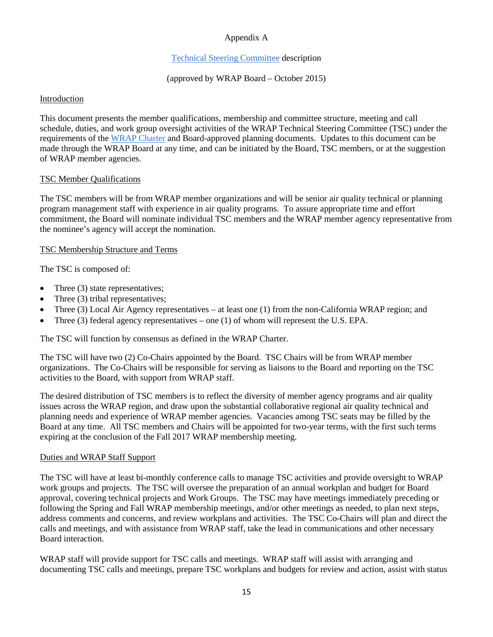# Appendix A

## [Technical Steering Committee](http://www.wrapair2.org/pdf/WRAP%20Technical%20Steering%20Committee%20Description%20Oct%2013_2015%20approvedby%20Board.pdf) description

## (approved by WRAP Board – October 2015)

#### Introduction

This document presents the member qualifications, membership and committee structure, meeting and call schedule, duties, and work group oversight activities of the WRAP Technical Steering Committee (TSC) under the requirements of the [WRAP Charter](http://www.wrapair2.org/pdf/WRAP%20Charter%20approved%20by%20the%20WRAP%20Membership%20July%202014.pdf) and Board-approved planning documents. Updates to this document can be made through the WRAP Board at any time, and can be initiated by the Board, TSC members, or at the suggestion of WRAP member agencies.

#### TSC Member Qualifications

The TSC members will be from WRAP member organizations and will be senior air quality technical or planning program management staff with experience in air quality programs. To assure appropriate time and effort commitment, the Board will nominate individual TSC members and the WRAP member agency representative from the nominee's agency will accept the nomination.

#### TSC Membership Structure and Terms

The TSC is composed of:

- Three (3) state representatives;
- Three (3) tribal representatives;
- Three (3) Local Air Agency representatives at least one (1) from the non-California WRAP region; and
- Three (3) federal agency representatives one (1) of whom will represent the U.S. EPA.

The TSC will function by consensus as defined in the WRAP Charter.

The TSC will have two (2) Co-Chairs appointed by the Board. TSC Chairs will be from WRAP member organizations. The Co-Chairs will be responsible for serving as liaisons to the Board and reporting on the TSC activities to the Board, with support from WRAP staff.

The desired distribution of TSC members is to reflect the diversity of member agency programs and air quality issues across the WRAP region, and draw upon the substantial collaborative regional air quality technical and planning needs and experience of WRAP member agencies. Vacancies among TSC seats may be filled by the Board at any time. All TSC members and Chairs will be appointed for two-year terms, with the first such terms expiring at the conclusion of the Fall 2017 WRAP membership meeting.

#### Duties and WRAP Staff Support

The TSC will have at least bi-monthly conference calls to manage TSC activities and provide oversight to WRAP work groups and projects. The TSC will oversee the preparation of an annual workplan and budget for Board approval, covering technical projects and Work Groups. The TSC may have meetings immediately preceding or following the Spring and Fall WRAP membership meetings, and/or other meetings as needed, to plan next steps, address comments and concerns, and review workplans and activities. The TSC Co-Chairs will plan and direct the calls and meetings, and with assistance from WRAP staff, take the lead in communications and other necessary Board interaction.

WRAP staff will provide support for TSC calls and meetings. WRAP staff will assist with arranging and documenting TSC calls and meetings, prepare TSC workplans and budgets for review and action, assist with status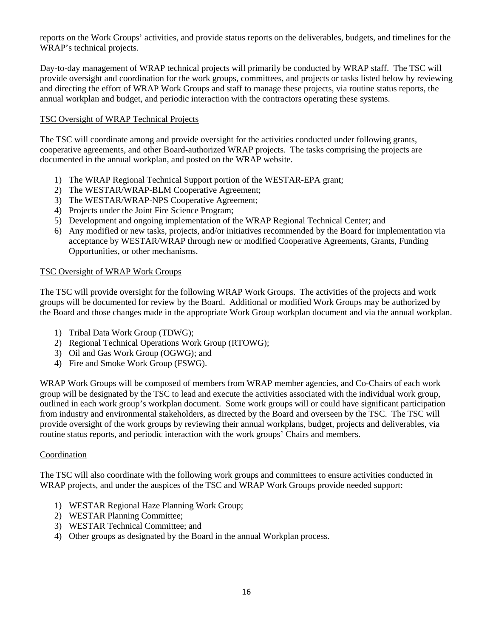reports on the Work Groups' activities, and provide status reports on the deliverables, budgets, and timelines for the WRAP's technical projects.

Day-to-day management of WRAP technical projects will primarily be conducted by WRAP staff. The TSC will provide oversight and coordination for the work groups, committees, and projects or tasks listed below by reviewing and directing the effort of WRAP Work Groups and staff to manage these projects, via routine status reports, the annual workplan and budget, and periodic interaction with the contractors operating these systems.

## TSC Oversight of WRAP Technical Projects

The TSC will coordinate among and provide oversight for the activities conducted under following grants, cooperative agreements, and other Board-authorized WRAP projects. The tasks comprising the projects are documented in the annual workplan, and posted on the WRAP website.

- 1) The WRAP Regional Technical Support portion of the WESTAR-EPA grant;
- 2) The WESTAR/WRAP-BLM Cooperative Agreement;
- 3) The WESTAR/WRAP-NPS Cooperative Agreement;
- 4) Projects under the Joint Fire Science Program;
- 5) Development and ongoing implementation of the WRAP Regional Technical Center; and
- 6) Any modified or new tasks, projects, and/or initiatives recommended by the Board for implementation via acceptance by WESTAR/WRAP through new or modified Cooperative Agreements, Grants, Funding Opportunities, or other mechanisms.

#### TSC Oversight of WRAP Work Groups

The TSC will provide oversight for the following WRAP Work Groups. The activities of the projects and work groups will be documented for review by the Board. Additional or modified Work Groups may be authorized by the Board and those changes made in the appropriate Work Group workplan document and via the annual workplan.

- 1) Tribal Data Work Group (TDWG);
- 2) Regional Technical Operations Work Group (RTOWG);
- 3) Oil and Gas Work Group (OGWG); and
- 4) Fire and Smoke Work Group (FSWG).

WRAP Work Groups will be composed of members from WRAP member agencies, and Co-Chairs of each work group will be designated by the TSC to lead and execute the activities associated with the individual work group, outlined in each work group's workplan document. Some work groups will or could have significant participation from industry and environmental stakeholders, as directed by the Board and overseen by the TSC. The TSC will provide oversight of the work groups by reviewing their annual workplans, budget, projects and deliverables, via routine status reports, and periodic interaction with the work groups' Chairs and members.

#### Coordination

The TSC will also coordinate with the following work groups and committees to ensure activities conducted in WRAP projects, and under the auspices of the TSC and WRAP Work Groups provide needed support:

- 1) WESTAR Regional Haze Planning Work Group;
- 2) WESTAR Planning Committee;
- 3) WESTAR Technical Committee; and
- 4) Other groups as designated by the Board in the annual Workplan process.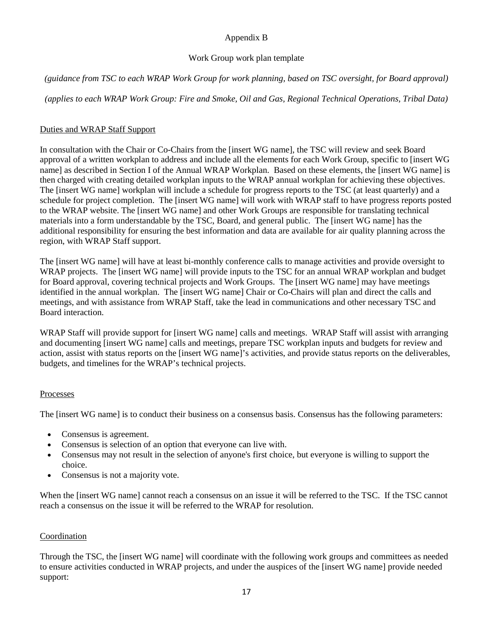# Appendix B

## Work Group work plan template

*(guidance from TSC to each WRAP Work Group for work planning, based on TSC oversight, for Board approval)*

*(applies to each WRAP Work Group: Fire and Smoke, Oil and Gas, Regional Technical Operations, Tribal Data)*

# Duties and WRAP Staff Support

In consultation with the Chair or Co-Chairs from the [insert WG name], the TSC will review and seek Board approval of a written workplan to address and include all the elements for each Work Group, specific to [insert WG name] as described in Section I of the Annual WRAP Workplan. Based on these elements, the [insert WG name] is then charged with creating detailed workplan inputs to the WRAP annual workplan for achieving these objectives. The [insert WG name] workplan will include a schedule for progress reports to the TSC (at least quarterly) and a schedule for project completion. The [insert WG name] will work with WRAP staff to have progress reports posted to the WRAP website. The [insert WG name] and other Work Groups are responsible for translating technical materials into a form understandable by the TSC, Board, and general public. The [insert WG name] has the additional responsibility for ensuring the best information and data are available for air quality planning across the region, with WRAP Staff support.

The [insert WG name] will have at least bi-monthly conference calls to manage activities and provide oversight to WRAP projects. The [insert WG name] will provide inputs to the TSC for an annual WRAP workplan and budget for Board approval, covering technical projects and Work Groups. The [insert WG name] may have meetings identified in the annual workplan. The [insert WG name] Chair or Co-Chairs will plan and direct the calls and meetings, and with assistance from WRAP Staff, take the lead in communications and other necessary TSC and Board interaction.

WRAP Staff will provide support for [insert WG name] calls and meetings. WRAP Staff will assist with arranging and documenting [insert WG name] calls and meetings, prepare TSC workplan inputs and budgets for review and action, assist with status reports on the [insert WG name]'s activities, and provide status reports on the deliverables, budgets, and timelines for the WRAP's technical projects.

## Processes

The [insert WG name] is to conduct their business on a consensus basis. Consensus has the following parameters:

- Consensus is agreement.
- Consensus is selection of an option that everyone can live with.
- Consensus may not result in the selection of anyone's first choice, but everyone is willing to support the choice.
- Consensus is not a majority vote.

When the [insert WG name] cannot reach a consensus on an issue it will be referred to the TSC. If the TSC cannot reach a consensus on the issue it will be referred to the WRAP for resolution.

# **Coordination**

Through the TSC, the [insert WG name] will coordinate with the following work groups and committees as needed to ensure activities conducted in WRAP projects, and under the auspices of the [insert WG name] provide needed support: